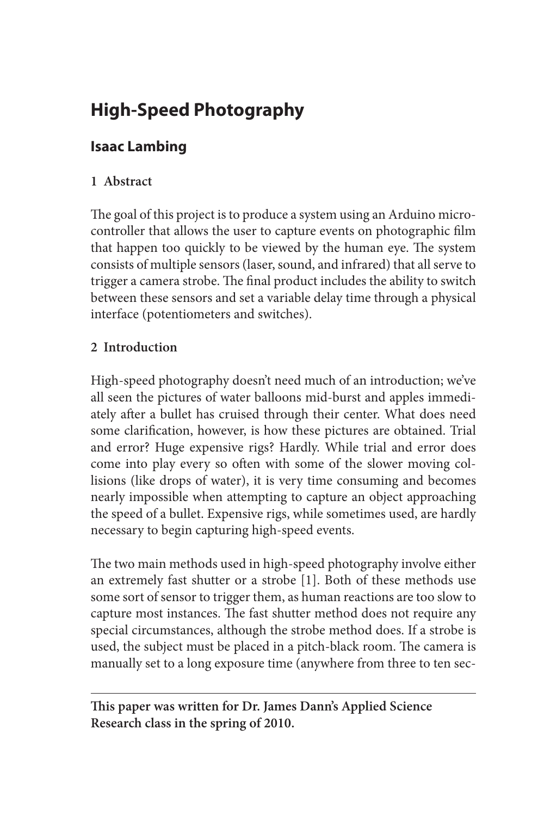# **High-Speed Photography**

# **Isaac Lambing**

## **1 Abstract**

The goal of this project is to produce a system using an Arduino microcontroller that allows the user to capture events on photographic film that happen too quickly to be viewed by the human eye. The system consists of multiple sensors (laser, sound, and infrared) that all serve to trigger a camera strobe. The final product includes the ability to switch between these sensors and set a variable delay time through a physical interface (potentiometers and switches).

## **2 Introduction**

High-speed photography doesn't need much of an introduction; we've all seen the pictures of water balloons mid-burst and apples immediately after a bullet has cruised through their center. What does need some clarification, however, is how these pictures are obtained. Trial and error? Huge expensive rigs? Hardly. While trial and error does come into play every so often with some of the slower moving collisions (like drops of water), it is very time consuming and becomes nearly impossible when attempting to capture an object approaching the speed of a bullet. Expensive rigs, while sometimes used, are hardly necessary to begin capturing high-speed events.

The two main methods used in high-speed photography involve either an extremely fast shutter or a strobe [1]. Both of these methods use some sort of sensor to trigger them, as human reactions are too slow to capture most instances. The fast shutter method does not require any special circumstances, although the strobe method does. If a strobe is used, the subject must be placed in a pitch-black room. The camera is manually set to a long exposure time (anywhere from three to ten sec-

**This paper was written for Dr. James Dann's Applied Science Research class in the spring of 2010.**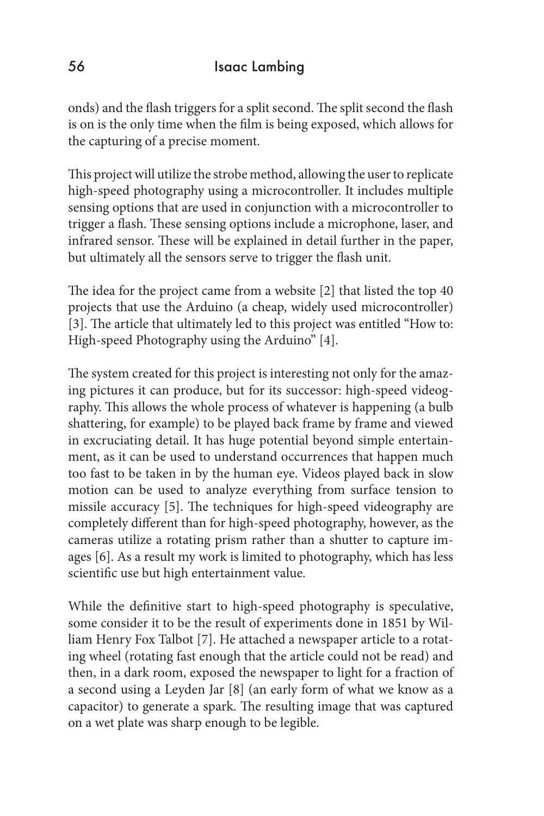onds) and the flash triggers for a split second. The split second the flash is on is the only time when the film is being exposed, which allows for the capturing of a precise moment.

This project will utilize the strobe method, allowing the user to replicate high-speed photography using a microcontroller. It includes multiple sensing options that are used in conjunction with a microcontroller to trigger a flash. These sensing options include a microphone, laser, and infrared sensor. These will be explained in detail further in the paper, but ultimately all the sensors serve to trigger the flash unit.

The idea for the project came from a website [2] that listed the top 40 projects that use the Arduino (a cheap, widely used microcontroller) [3]. The article that ultimately led to this project was entitled "How to: High-speed Photography using the Arduino" [4].

The system created for this project is interesting not only for the amazing pictures it can produce, but for its successor: high-speed videography. This allows the whole process of whatever is happening (a bulb shattering, for example) to be played back frame by frame and viewed in excruciating detail. It has huge potential beyond simple entertainment, as it can be used to understand occurrences that happen much too fast to be taken in by the human eye. Videos played back in slow motion can be used to analyze everything from surface tension to missile accuracy [5]. The techniques for high-speed videography are completely different than for high-speed photography, however, as the cameras utilize a rotating prism rather than a shutter to capture images [6]. As a result my work is limited to photography, which has less scientific use but high entertainment value.

While the definitive start to high-speed photography is speculative, some consider it to be the result of experiments done in 1851 by William Henry Fox Talbot [7]. He attached a newspaper article to a rotating wheel (rotating fast enough that the article could not be read) and then, in a dark room, exposed the newspaper to light for a fraction of a second using a Leyden Jar [8] (an early form of what we know as a capacitor) to generate a spark. The resulting image that was captured on a wet plate was sharp enough to be legible.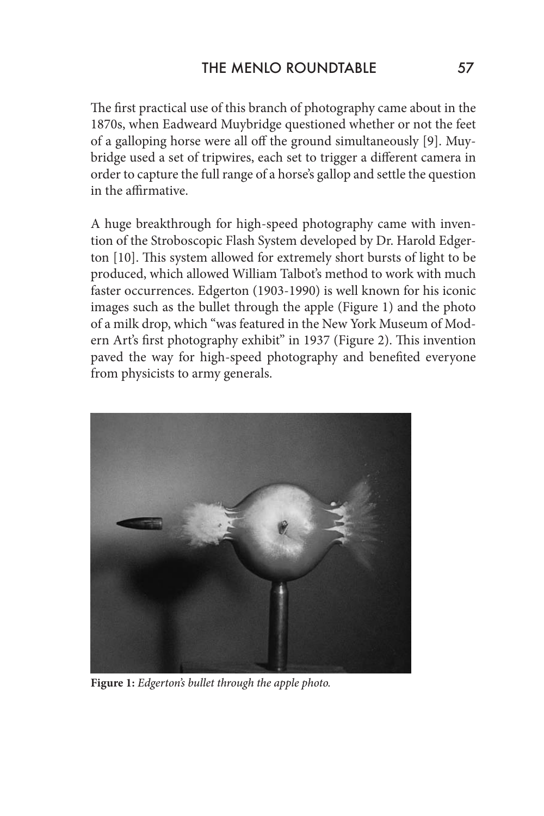The first practical use of this branch of photography came about in the 1870s, when Eadweard Muybridge questioned whether or not the feet of a galloping horse were all off the ground simultaneously [9]. Muybridge used a set of tripwires, each set to trigger a different camera in order to capture the full range of a horse's gallop and settle the question in the affirmative.

A huge breakthrough for high-speed photography came with invention of the Stroboscopic Flash System developed by Dr. Harold Edgerton [10]. This system allowed for extremely short bursts of light to be produced, which allowed William Talbot's method to work with much faster occurrences. Edgerton (1903-1990) is well known for his iconic images such as the bullet through the apple (Figure 1) and the photo of a milk drop, which "was featured in the New York Museum of Modern Art's first photography exhibit" in 1937 (Figure 2). This invention paved the way for high-speed photography and benefited everyone from physicists to army generals.



**Figure 1:** *Edgerton's bullet through the apple photo.*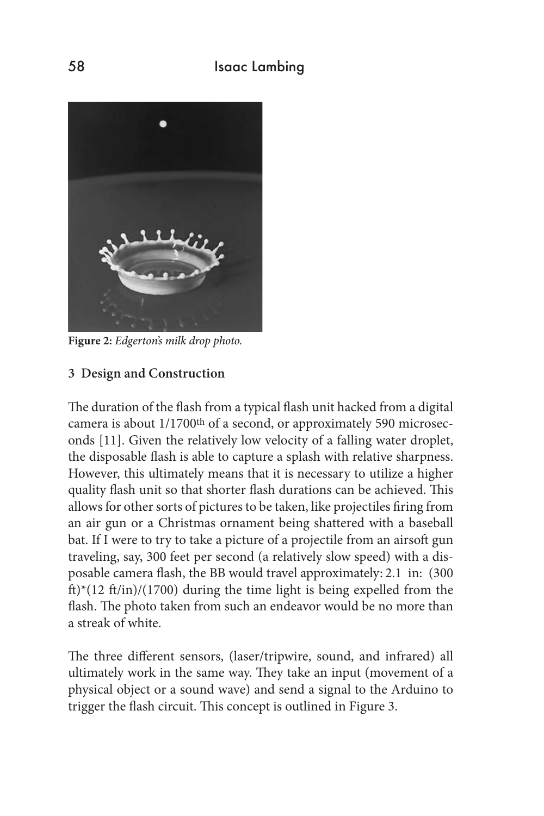

**Figure 2:** *Edgerton's milk drop photo.*

#### **3 Design and Construction**

The duration of the flash from a typical flash unit hacked from a digital camera is about 1/1700<sup>th</sup> of a second, or approximately 590 microseconds [11]. Given the relatively low velocity of a falling water droplet, the disposable flash is able to capture a splash with relative sharpness. However, this ultimately means that it is necessary to utilize a higher quality flash unit so that shorter flash durations can be achieved. This allows for other sorts of pictures to be taken, like projectiles firing from an air gun or a Christmas ornament being shattered with a baseball bat. If I were to try to take a picture of a projectile from an airsoft gun traveling, say, 300 feet per second (a relatively slow speed) with a disposable camera flash, the BB would travel approximately: 2.1 in: (300 ft)\*(12 ft/in)/(1700) during the time light is being expelled from the flash. The photo taken from such an endeavor would be no more than a streak of white.

The three different sensors, (laser/tripwire, sound, and infrared) all ultimately work in the same way. They take an input (movement of a physical object or a sound wave) and send a signal to the Arduino to trigger the flash circuit. This concept is outlined in Figure 3.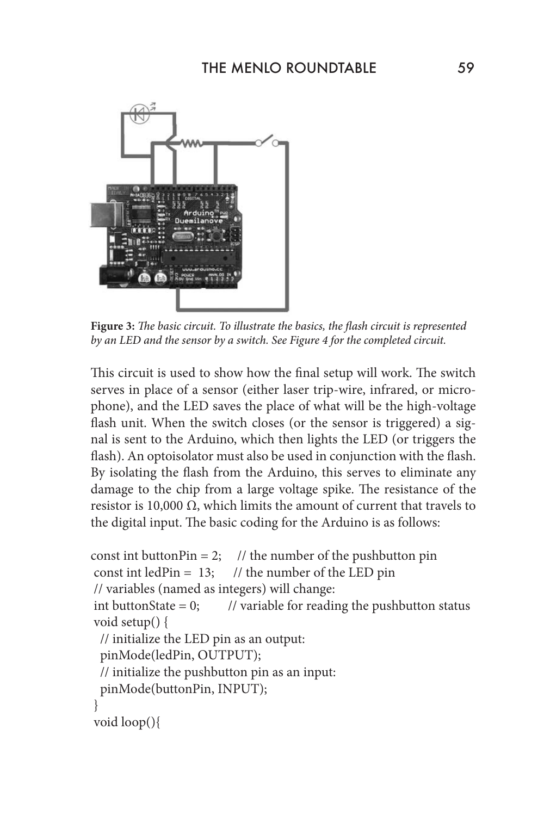

**Figure 3:** *The basic circuit. To illustrate the basics, the flash circuit is represented by an LED and the sensor by a switch. See Figure 4 for the completed circuit.*

This circuit is used to show how the final setup will work. The switch serves in place of a sensor (either laser trip-wire, infrared, or microphone), and the LED saves the place of what will be the high-voltage flash unit. When the switch closes (or the sensor is triggered) a signal is sent to the Arduino, which then lights the LED (or triggers the flash). An optoisolator must also be used in conjunction with the flash. By isolating the flash from the Arduino, this serves to eliminate any damage to the chip from a large voltage spike. The resistance of the resistor is 10,000  $Ω$ , which limits the amount of current that travels to the digital input. The basic coding for the Arduino is as follows:

```
const int buttonPin = 2; // the number of the pushbutton pin
const int ledPin = 13; // the number of the LED pin
 // variables (named as integers) will change:
int buttonState = 0; // variable for reading the pushbutton status
 void setup() {
  // initialize the LED pin as an output:
  pinMode(ledPin, OUTPUT); 
  // initialize the pushbutton pin as an input:
  pinMode(buttonPin, INPUT); 
 }
 void loop(){
```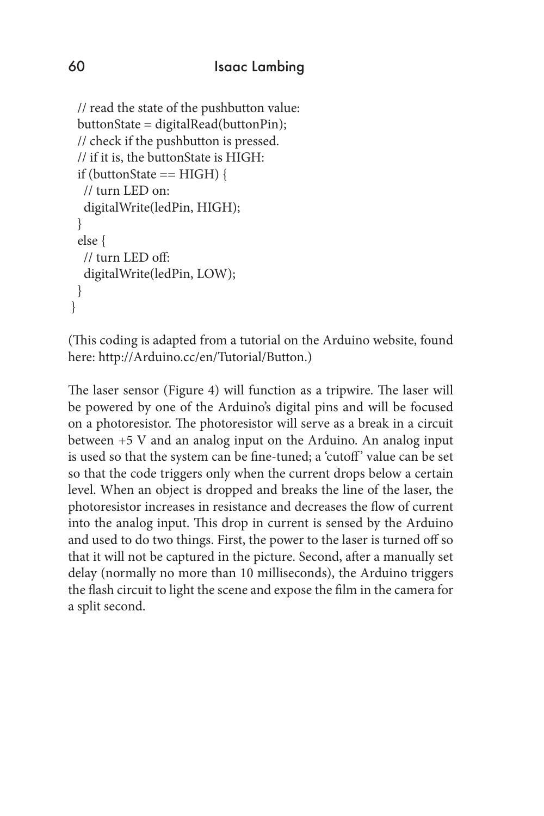```
 // read the state of the pushbutton value:
  buttonState = digitalRead(buttonPin);
  // check if the pushbutton is pressed.
  // if it is, the buttonState is HIGH:
 if (buttonState == HIGH) {
   // turn LED on: 
   digitalWrite(ledPin, HIGH); 
 } 
  else {
   // turn LED off:
   digitalWrite(ledPin, LOW); 
  }
 }
```
(This coding is adapted from a tutorial on the Arduino website, found here: http://Arduino.cc/en/Tutorial/Button.)

The laser sensor (Figure 4) will function as a tripwire. The laser will be powered by one of the Arduino's digital pins and will be focused on a photoresistor. The photoresistor will serve as a break in a circuit between +5 V and an analog input on the Arduino. An analog input is used so that the system can be fine-tuned; a 'cutoff' value can be set so that the code triggers only when the current drops below a certain level. When an object is dropped and breaks the line of the laser, the photoresistor increases in resistance and decreases the flow of current into the analog input. This drop in current is sensed by the Arduino and used to do two things. First, the power to the laser is turned off so that it will not be captured in the picture. Second, after a manually set delay (normally no more than 10 milliseconds), the Arduino triggers the flash circuit to light the scene and expose the film in the camera for a split second.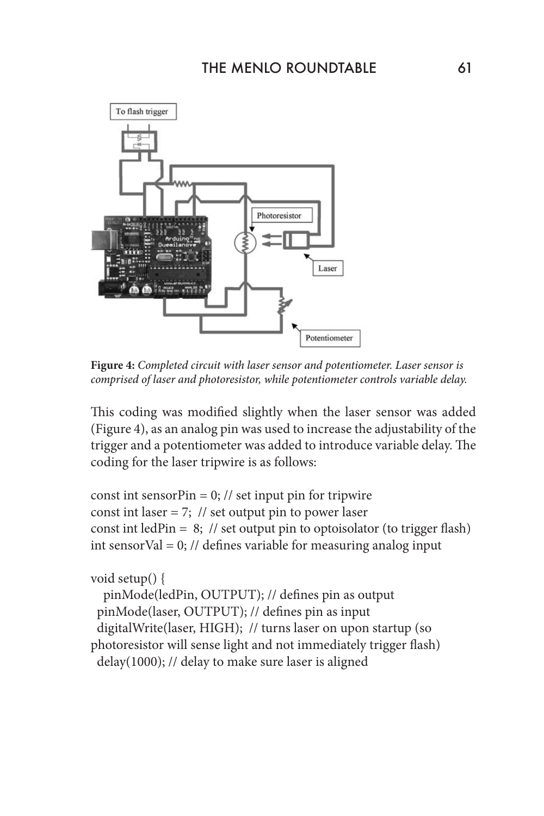

**Figure 4:** *Completed circuit with laser sensor and potentiometer. Laser sensor is comprised of laser and photoresistor, while potentiometer controls variable delay.*

This coding was modified slightly when the laser sensor was added (Figure 4), as an analog pin was used to increase the adjustability of the trigger and a potentiometer was added to introduce variable delay. The coding for the laser tripwire is as follows:

const int sensorPin =  $0$ ; // set input pin for tripwire const int laser = 7;  $\frac{1}{3}$  set output pin to power laser const int ledPin =  $8$ ; // set output pin to optoisolator (to trigger flash) int sensorVal = 0; // defines variable for measuring analog input

#### void setup() {

 pinMode(ledPin, OUTPUT); // defines pin as output pinMode(laser, OUTPUT); // defines pin as input digitalWrite(laser, HIGH); // turns laser on upon startup (so photoresistor will sense light and not immediately trigger flash) delay(1000); // delay to make sure laser is aligned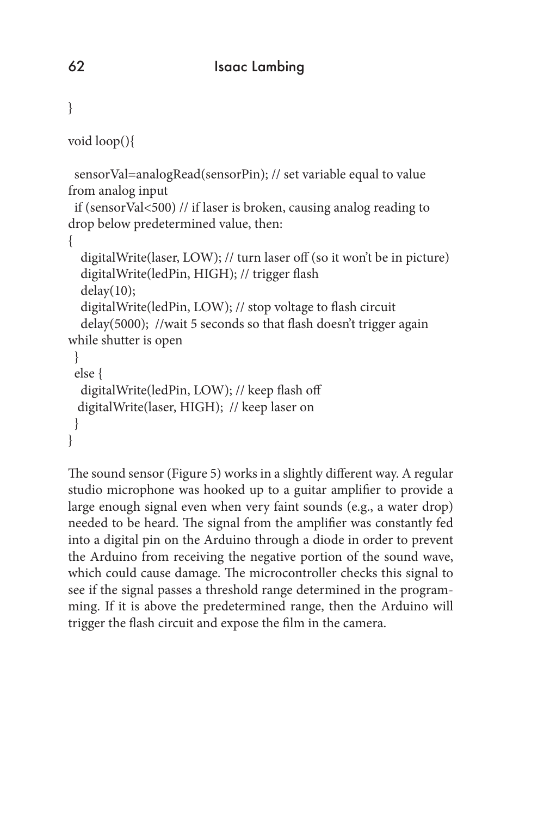```
}
void loop(){
  sensorVal=analogRead(sensorPin); // set variable equal to value 
from analog input
  if (sensorVal<500) // if laser is broken, causing analog reading to 
drop below predetermined value, then:
{
   digitalWrite(laser, LOW); // turn laser off (so it won't be in picture)
   digitalWrite(ledPin, HIGH); // trigger flash
  delay(10); digitalWrite(ledPin, LOW); // stop voltage to flash circuit
   delay(5000); //wait 5 seconds so that flash doesn't trigger again 
while shutter is open
  } 
  else {
   digitalWrite(ledPin, LOW); // keep flash off
  digitalWrite(laser, HIGH); // keep laser on
  }
}
```
The sound sensor (Figure 5) works in a slightly different way. A regular studio microphone was hooked up to a guitar amplifier to provide a large enough signal even when very faint sounds (e.g., a water drop) needed to be heard. The signal from the amplifier was constantly fed into a digital pin on the Arduino through a diode in order to prevent the Arduino from receiving the negative portion of the sound wave, which could cause damage. The microcontroller checks this signal to see if the signal passes a threshold range determined in the programming. If it is above the predetermined range, then the Arduino will trigger the flash circuit and expose the film in the camera.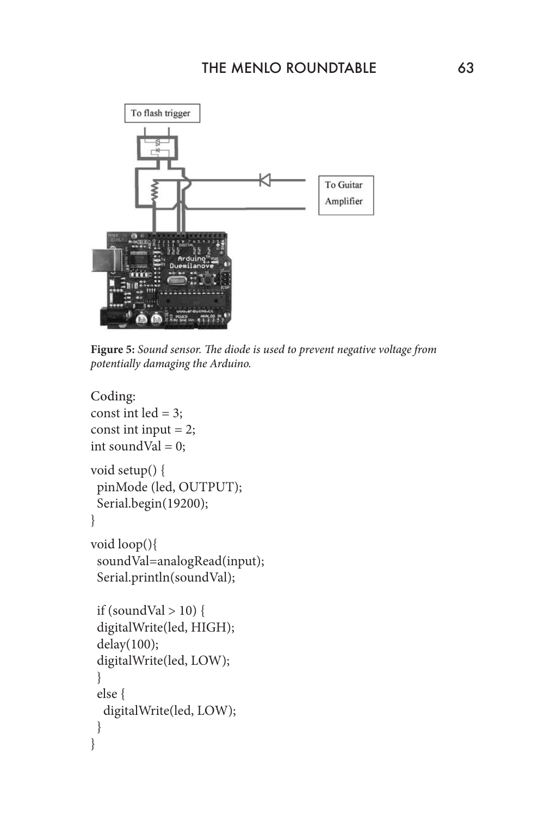

**Figure 5:** *Sound sensor. The diode is used to prevent negative voltage from potentially damaging the Arduino.*

```
Coding:
const int led = 3;
const int input = 2;
int soundVal = 0;
void setup() {
  pinMode (led, OUTPUT);
  Serial.begin(19200);
}
void loop(){
  soundVal=analogRead(input);
  Serial.println(soundVal);
 if (soundVal > 10) {
  digitalWrite(led, HIGH);
  delay(100);
  digitalWrite(led, LOW);
  }
  else {
   digitalWrite(led, LOW);
  }
}
```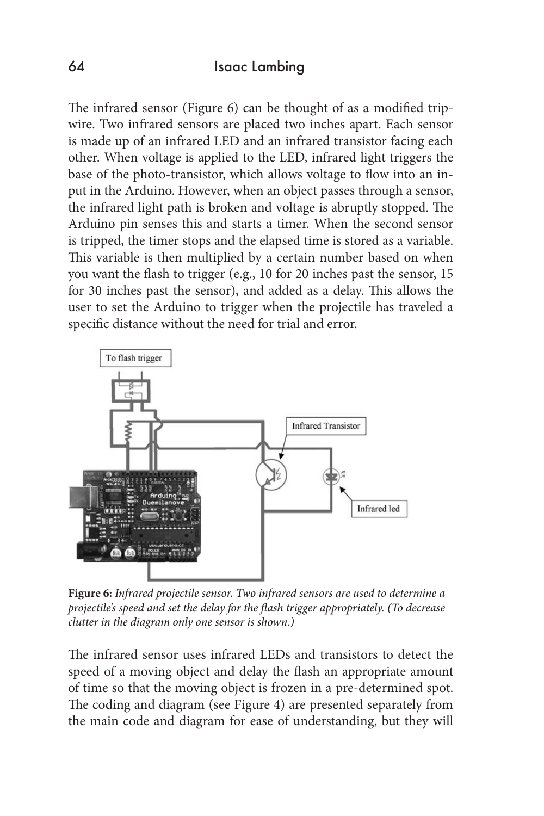The infrared sensor (Figure 6) can be thought of as a modified tripwire. Two infrared sensors are placed two inches apart. Each sensor is made up of an infrared LED and an infrared transistor facing each other. When voltage is applied to the LED, infrared light triggers the base of the photo-transistor, which allows voltage to flow into an input in the Arduino. However, when an object passes through a sensor, the infrared light path is broken and voltage is abruptly stopped. The Arduino pin senses this and starts a timer. When the second sensor is tripped, the timer stops and the elapsed time is stored as a variable. This variable is then multiplied by a certain number based on when you want the flash to trigger (e.g., 10 for 20 inches past the sensor, 15 for 30 inches past the sensor), and added as a delay. This allows the user to set the Arduino to trigger when the projectile has traveled a specific distance without the need for trial and error.



**Figure 6:** *Infrared projectile sensor. Two infrared sensors are used to determine a projectile's speed and set the delay for the flash trigger appropriately. (To decrease clutter in the diagram only one sensor is shown.)*

The infrared sensor uses infrared LEDs and transistors to detect the speed of a moving object and delay the flash an appropriate amount of time so that the moving object is frozen in a pre-determined spot. The coding and diagram (see Figure 4) are presented separately from the main code and diagram for ease of understanding, but they will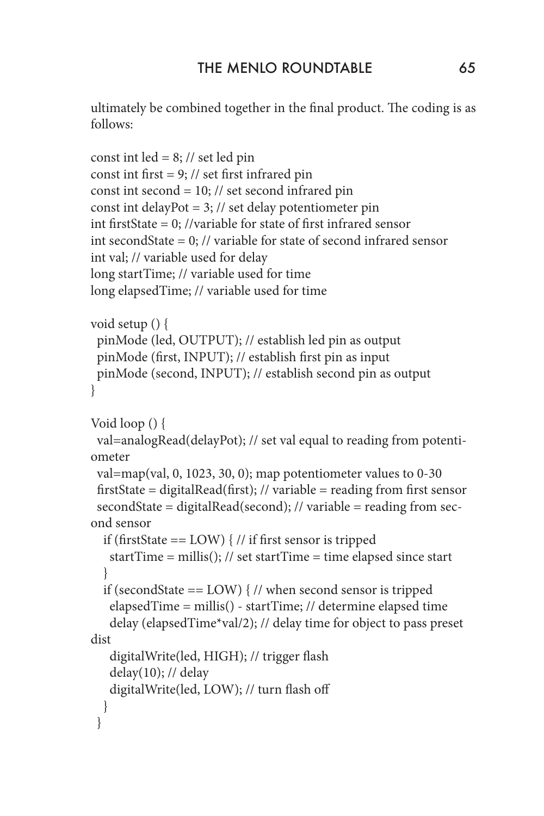ultimately be combined together in the final product. The coding is as follows:

```
const int led = 8; // set led pin
const int first = 9; // set first infrared pin
const int second = 10; // set second infrared pin
const int delayPot = 3; // set delay potentiometer pin
int firstState = 0; //variable for state of first infrared sensor
int secondState = 0; // variable for state of second infrared sensor
int val; // variable used for delay
long startTime; // variable used for time
long elapsedTime; // variable used for time
void setup () {
  pinMode (led, OUTPUT); // establish led pin as output
  pinMode (first, INPUT); // establish first pin as input
  pinMode (second, INPUT); // establish second pin as output
}
Void loop () {
  val=analogRead(delayPot); // set val equal to reading from potenti-
ometer
  val=map(val, 0, 1023, 30, 0); map potentiometer values to 0-30
 firstState = digitalRead(first); // variable = reading from first sensor
  secondState = digitalRead(second); // variable = reading from sec-
ond sensor
  if (firstState == LOW) \frac{1}{1} if first sensor is tripped
    startTime = millis(); // set startTime = time elapsed since start
   }
  if (secondState == LOW) { // when second sensor is tripped
    elapsedTime = millis() - startTime; // determine elapsed time
    delay (elapsedTime*val/2); // delay time for object to pass preset 
dist
    digitalWrite(led, HIGH); // trigger flash
   delay(10); // delay
    digitalWrite(led, LOW); // turn flash off
   }
  }
```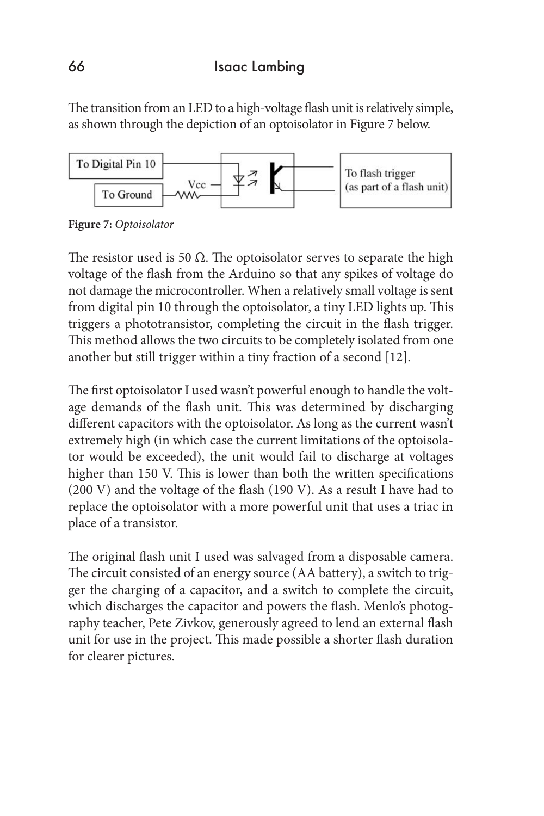The transition from an LED to a high-voltage flash unit is relatively simple, as shown through the depiction of an optoisolator in Figure 7 below.



**Figure 7:** *Optoisolator*

The resistor used is 50  $\Omega$ . The optoisolator serves to separate the high voltage of the flash from the Arduino so that any spikes of voltage do not damage the microcontroller. When a relatively small voltage is sent from digital pin 10 through the optoisolator, a tiny LED lights up. This triggers a phototransistor, completing the circuit in the flash trigger. This method allows the two circuits to be completely isolated from one another but still trigger within a tiny fraction of a second [12].

The first optoisolator I used wasn't powerful enough to handle the voltage demands of the flash unit. This was determined by discharging different capacitors with the optoisolator. As long as the current wasn't extremely high (in which case the current limitations of the optoisolator would be exceeded), the unit would fail to discharge at voltages higher than 150 V. This is lower than both the written specifications (200 V) and the voltage of the flash (190 V). As a result I have had to replace the optoisolator with a more powerful unit that uses a triac in place of a transistor.

The original flash unit I used was salvaged from a disposable camera. The circuit consisted of an energy source (AA battery), a switch to trigger the charging of a capacitor, and a switch to complete the circuit, which discharges the capacitor and powers the flash. Menlo's photography teacher, Pete Zivkov, generously agreed to lend an external flash unit for use in the project. This made possible a shorter flash duration for clearer pictures.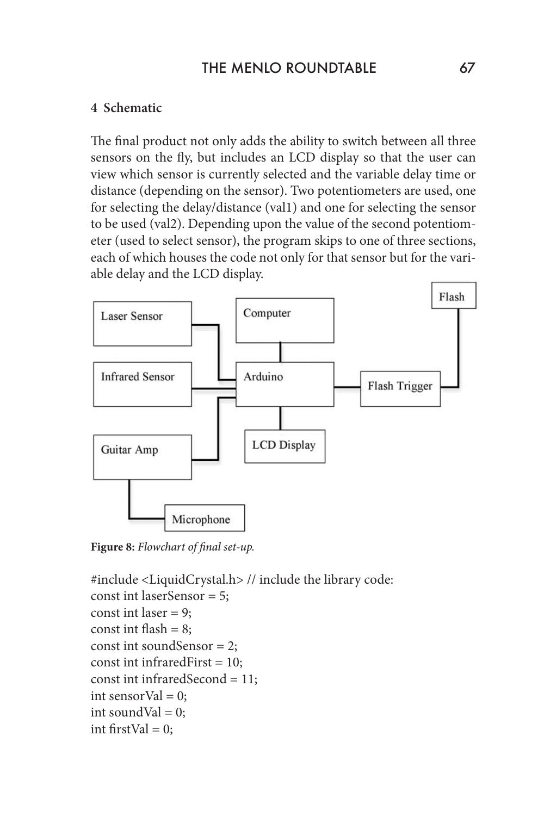## THE MENIO ROUNDTABLE 67

#### **4 Schematic**

The final product not only adds the ability to switch between all three sensors on the fly, but includes an LCD display so that the user can view which sensor is currently selected and the variable delay time or distance (depending on the sensor). Two potentiometers are used, one for selecting the delay/distance (val1) and one for selecting the sensor to be used (val2). Depending upon the value of the second potentiometer (used to select sensor), the program skips to one of three sections, each of which houses the code not only for that sensor but for the variable delay and the LCD display.



**Figure 8:** *Flowchart of final set-up.*

```
#include <LiquidCrystal.h> // include the library code:
const int laserSensor = 5;
const int laser = 9;
const int flash = 8;
const int soundSensor = 2;
const int infraredFirst = 10;
const int infraredSecond = 11;
int sensorVal = 0;
int soundVal = 0;
int firstVal = 0;
```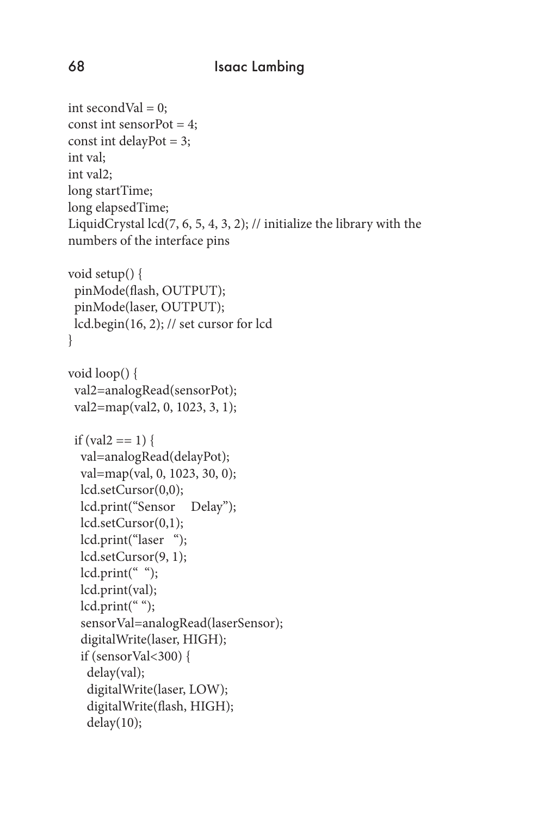```
int secondVal = 0;
const int sensorPot = 4;
const int delayPot = 3;
int val;
int val2;
long startTime;
long elapsedTime;
LiquidCrystal lcd(7, 6, 5, 4, 3, 2); // initialize the library with the 
numbers of the interface pins
void setup() {
  pinMode(flash, OUTPUT);
  pinMode(laser, OUTPUT);
  lcd.begin(16, 2); // set cursor for lcd 
}
void loop() {
  val2=analogRead(sensorPot);
  val2=map(val2, 0, 1023, 3, 1);
 if (val2 == 1) {
   val=analogRead(delayPot);
   val=map(val, 0, 1023, 30, 0);
   lcd.setCursor(0,0);
   lcd.print("Sensor Delay");
   lcd.setCursor(0,1);
   lcd.print("laser ");
   lcd.setCursor(9, 1);
  lcd.print(" ");
   lcd.print(val);
   lcd.print(" ");
   sensorVal=analogRead(laserSensor);
   digitalWrite(laser, HIGH);
  if (sensorVal<300) {
    delay(val);
    digitalWrite(laser, LOW);
    digitalWrite(flash, HIGH);
   delay(10);
```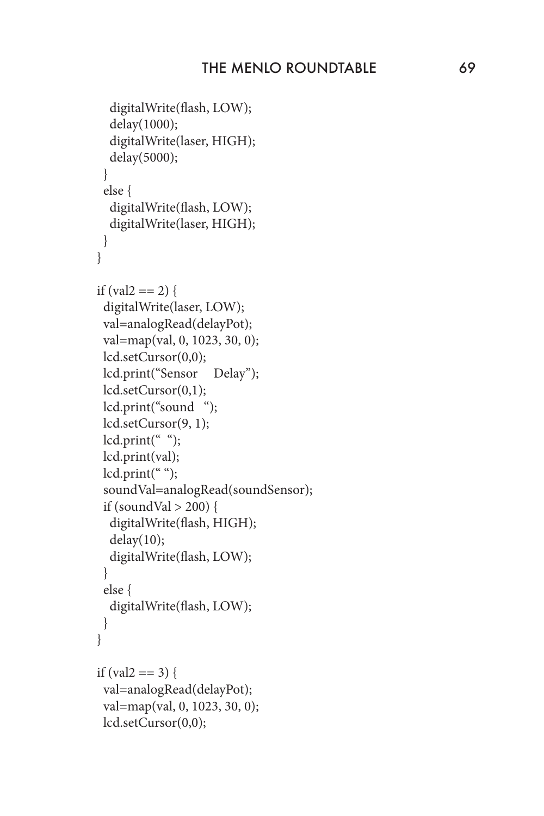```
 digitalWrite(flash, LOW);
   delay(1000);
   digitalWrite(laser, HIGH);
   delay(5000);
  }
  else {
   digitalWrite(flash, LOW);
   digitalWrite(laser, HIGH);
  }
 }
if (val2 == 2) {
  digitalWrite(laser, LOW);
  val=analogRead(delayPot);
  val=map(val, 0, 1023, 30, 0);
  lcd.setCursor(0,0);
  lcd.print("Sensor Delay");
  lcd.setCursor(0,1);
  lcd.print("sound ");
  lcd.setCursor(9, 1);
 lcd.print(" ");
  lcd.print(val);
  lcd.print(" ");
  soundVal=analogRead(soundSensor);
 if (soundVal > 200) {
   digitalWrite(flash, HIGH);
  delay(10); digitalWrite(flash, LOW);
  }
  else {
   digitalWrite(flash, LOW);
  }
 }
if (val2 == 3) {
  val=analogRead(delayPot);
  val=map(val, 0, 1023, 30, 0);
  lcd.setCursor(0,0);
```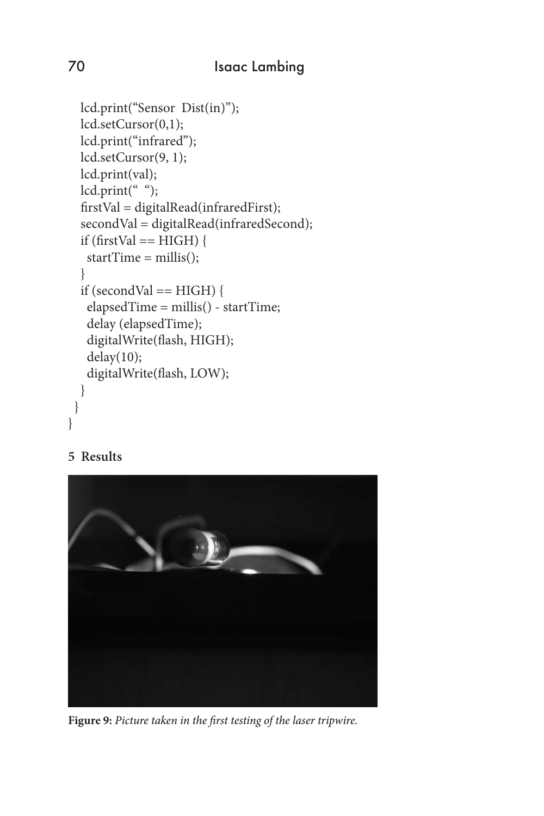```
 lcd.print("Sensor Dist(in)");
   lcd.setCursor(0,1);
   lcd.print("infrared");
   lcd.setCursor(9, 1);
   lcd.print(val);
  lcd.print(" ");
   firstVal = digitalRead(infraredFirst);
   secondVal = digitalRead(infraredSecond);
  if (firstVal == HIGH) {
    startTime = millis();
   }
  if (second Val = HIGH) {
    elapsedTime = millis() - startTime;
    delay (elapsedTime);
    digitalWrite(flash, HIGH);
    delay(10);
    digitalWrite(flash, LOW);
   }
  }
}
```
#### **5 Results**



**Figure 9:** *Picture taken in the first testing of the laser tripwire.*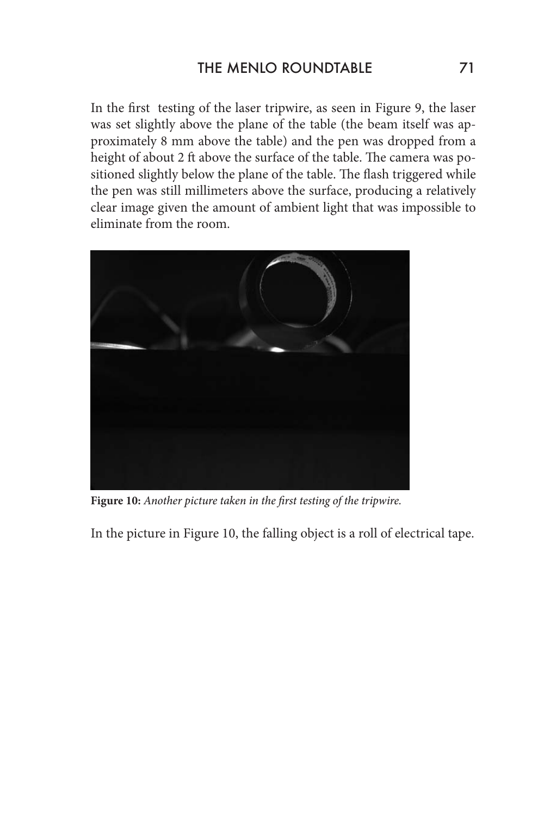In the first testing of the laser tripwire, as seen in Figure 9, the laser was set slightly above the plane of the table (the beam itself was approximately 8 mm above the table) and the pen was dropped from a height of about 2 ft above the surface of the table. The camera was positioned slightly below the plane of the table. The flash triggered while the pen was still millimeters above the surface, producing a relatively clear image given the amount of ambient light that was impossible to eliminate from the room.



**Figure 10:** *Another picture taken in the first testing of the tripwire.*

In the picture in Figure 10, the falling object is a roll of electrical tape.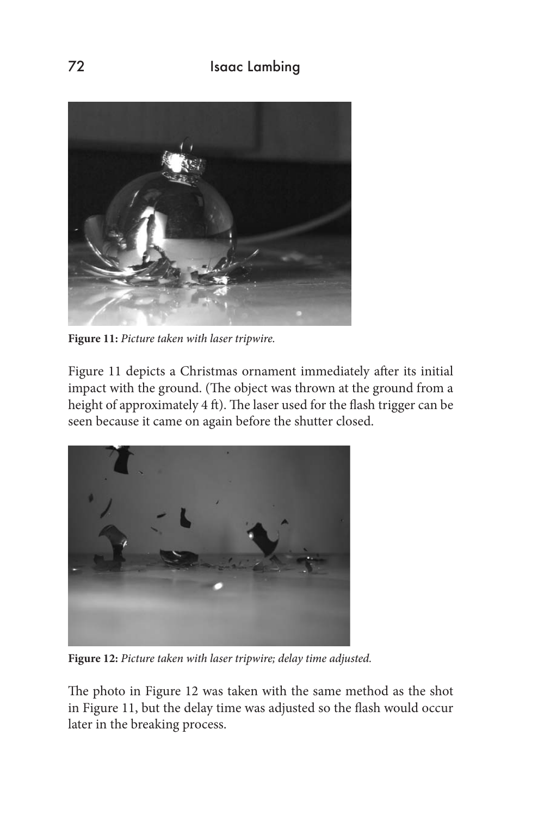

**Figure 11:** *Picture taken with laser tripwire.* 

Figure 11 depicts a Christmas ornament immediately after its initial impact with the ground. (The object was thrown at the ground from a height of approximately 4 ft). The laser used for the flash trigger can be seen because it came on again before the shutter closed.



**Figure 12:** *Picture taken with laser tripwire; delay time adjusted.*

The photo in Figure 12 was taken with the same method as the shot in Figure 11, but the delay time was adjusted so the flash would occur later in the breaking process.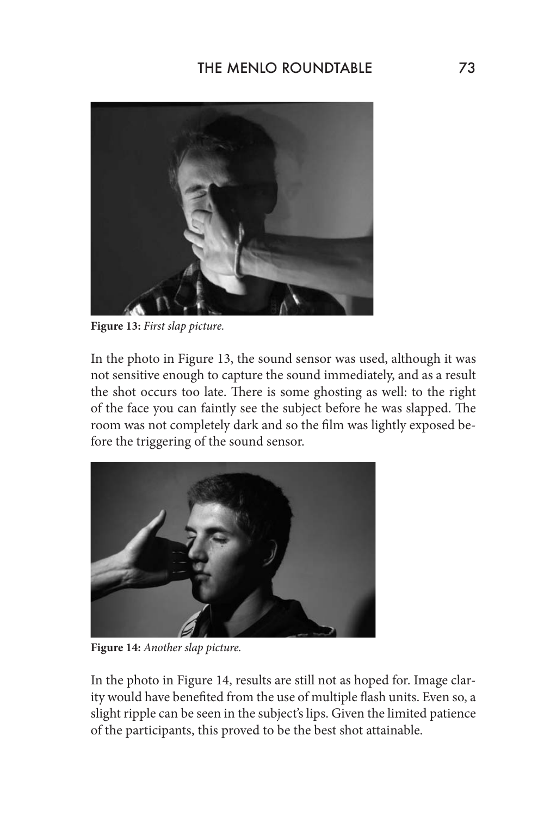

**Figure 13:** *First slap picture.* 

In the photo in Figure 13, the sound sensor was used, although it was not sensitive enough to capture the sound immediately, and as a result the shot occurs too late. There is some ghosting as well: to the right of the face you can faintly see the subject before he was slapped. The room was not completely dark and so the film was lightly exposed before the triggering of the sound sensor.



**Figure 14:** *Another slap picture.*

In the photo in Figure 14, results are still not as hoped for. Image clarity would have benefited from the use of multiple flash units. Even so, a slight ripple can be seen in the subject's lips. Given the limited patience of the participants, this proved to be the best shot attainable.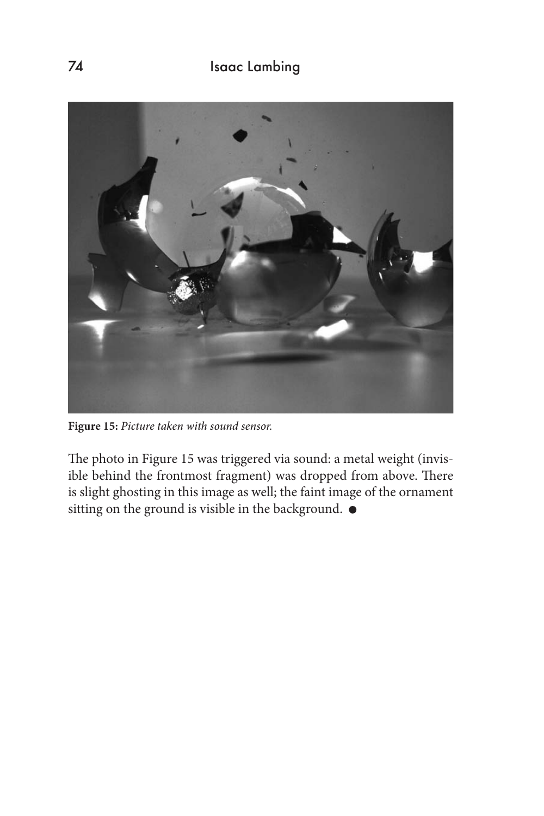

**Figure 15:** *Picture taken with sound sensor.*

The photo in Figure 15 was triggered via sound: a metal weight (invisible behind the frontmost fragment) was dropped from above. There is slight ghosting in this image as well; the faint image of the ornament sitting on the ground is visible in the background.  $\bullet$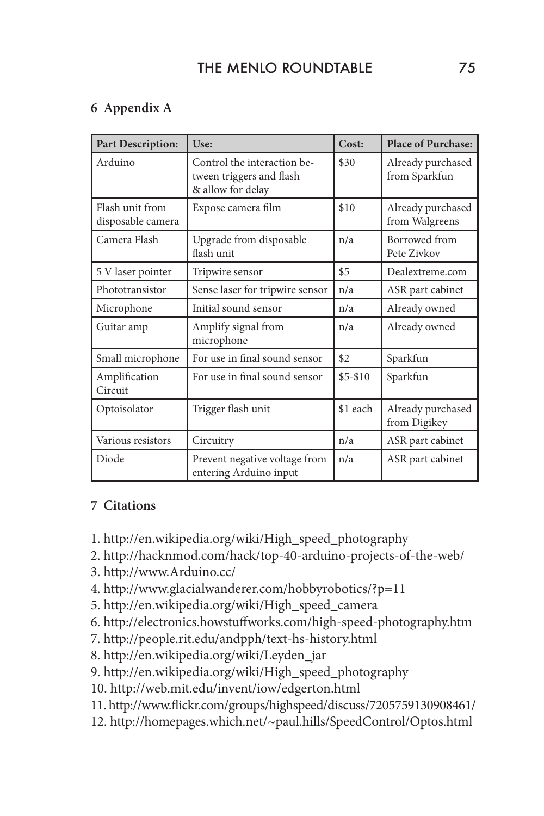# THE MENLO ROUNDTABLE 75

### **6 Appendix A**

| <b>Part Description:</b>             | Use:                                                                         | Cost:      | <b>Place of Purchase:</b>           |
|--------------------------------------|------------------------------------------------------------------------------|------------|-------------------------------------|
| Arduino                              | Control the interaction be-<br>tween triggers and flash<br>& allow for delay | \$30       | Already purchased<br>from Sparkfun  |
| Flash unit from<br>disposable camera | Expose camera film                                                           | \$10       | Already purchased<br>from Walgreens |
| Camera Flash                         | Upgrade from disposable<br>flash unit                                        | n/a        | Borrowed from<br>Pete Zivkov        |
| 5 V laser pointer                    | Tripwire sensor                                                              | \$5        | Dealextreme.com                     |
| Phototransistor                      | Sense laser for tripwire sensor                                              | n/a        | ASR part cabinet                    |
| Microphone                           | Initial sound sensor                                                         | n/a        | Already owned                       |
| Guitar amp                           | Amplify signal from<br>microphone                                            | n/a        | Already owned                       |
| Small microphone                     | For use in final sound sensor                                                | \$2        | Sparkfun                            |
| Amplification<br>Circuit             | For use in final sound sensor                                                | $$5 - $10$ | Sparkfun                            |
| Optoisolator                         | Trigger flash unit                                                           | \$1 each   | Already purchased<br>from Digikey   |
| Various resistors                    | Circuitry                                                                    | n/a        | ASR part cabinet                    |
| Diode                                | Prevent negative voltage from<br>entering Arduino input                      | n/a        | ASR part cabinet                    |

#### **7 Citations**

- 1. http://en.wikipedia.org/wiki/High\_speed\_photography
- 2. http://hacknmod.com/hack/top-40-arduino-projects-of-the-web/
- 3. http://www.Arduino.cc/
- 4. http://www.glacialwanderer.com/hobbyrobotics/?p=11
- 5. http://en.wikipedia.org/wiki/High\_speed\_camera
- 6. http://electronics.howstuffworks.com/high-speed-photography.htm
- 7. http://people.rit.edu/andpph/text-hs-history.html
- 8. http://en.wikipedia.org/wiki/Leyden\_jar
- 9. http://en.wikipedia.org/wiki/High\_speed\_photography
- 10. http://web.mit.edu/invent/iow/edgerton.html
- 11. http://www.flickr.com/groups/highspeed/discuss/7205759130908461/
- 12. http://homepages.which.net/~paul.hills/SpeedControl/Optos.html